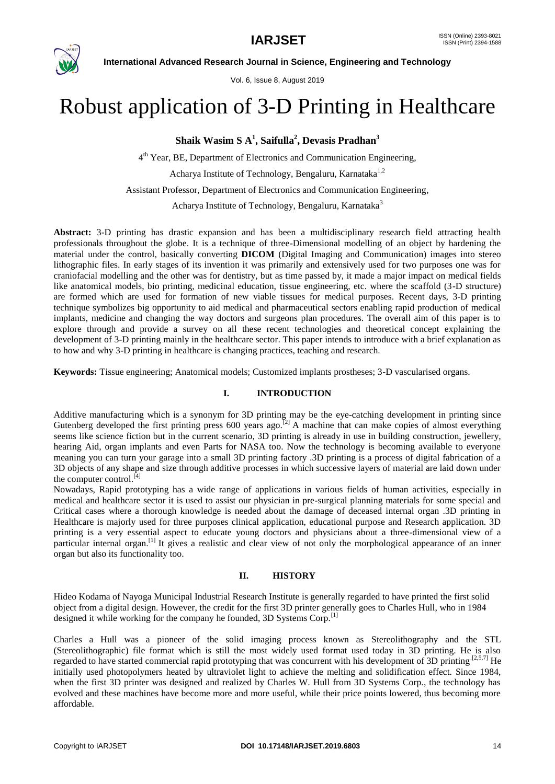

Vol. 6, Issue 8, August 2019

# Robust application of 3-D Printing in Healthcare

**Shaik Wasim S A<sup>1</sup> , Saifulla<sup>2</sup> , Devasis Pradhan<sup>3</sup>**

4<sup>th</sup> Year, BE, Department of Electronics and Communication Engineering,

Acharya Institute of Technology, Bengaluru, Karnataka<sup>1,2</sup>

Assistant Professor, Department of Electronics and Communication Engineering,

Acharya Institute of Technology, Bengaluru, Karnataka<sup>3</sup>

**Abstract:** 3-D printing has drastic expansion and has been a multidisciplinary research field attracting health professionals throughout the globe. It is a technique of three-Dimensional modelling of an object by hardening the material under the control, basically converting **DICOM** (Digital Imaging and Communication) images into stereo lithographic files. In early stages of its invention it was primarily and extensively used for two purposes one was for craniofacial modelling and the other was for dentistry, but as time passed by, it made a major impact on medical fields like anatomical models, bio printing, medicinal education, tissue engineering, etc. where the scaffold (3-D structure) are formed which are used for formation of new viable tissues for medical purposes. Recent days, 3-D printing technique symbolizes big opportunity to aid medical and pharmaceutical sectors enabling rapid production of medical implants, medicine and changing the way doctors and surgeons plan procedures. The overall aim of this paper is to explore through and provide a survey on all these recent technologies and theoretical concept explaining the development of 3-D printing mainly in the healthcare sector. This paper intends to introduce with a brief explanation as to how and why 3-D printing in healthcare is changing practices, teaching and research.

**Keywords:** Tissue engineering; Anatomical models; Customized implants prostheses; 3-D vascularised organs.

#### **I. INTRODUCTION**

Additive manufacturing which is a synonym for 3D printing may be the eye-catching development in printing since Gutenberg developed the first printing press 600 years ago.<sup>[2]</sup> A machine that can make copies of almost everything seems like science fiction but in the current scenario, 3D printing is already in use in building construction, jewellery, hearing Aid, organ implants and even Parts for NASA too. Now the technology is becoming available to everyone meaning you can turn your garage into a small 3D printing factory .3D printing is a process of digital fabrication of a 3D objects of any shape and size through additive processes in which successive layers of material are laid down under the computer control. $^{[4]}$ 

Nowadays, Rapid prototyping has a wide range of applications in various fields of human activities, especially in medical and healthcare sector it is used to assist our physician in pre-surgical planning materials for some special and Critical cases where a thorough knowledge is needed about the damage of deceased internal organ .3D printing in Healthcare is majorly used for three purposes clinical application, educational purpose and Research application. 3D printing is a very essential aspect to educate young doctors and physicians about a three-dimensional view of a particular internal organ.<sup>[1]</sup> It gives a realistic and clear view of not only the morphological appearance of an inner organ but also its functionality too.

#### **II. HISTORY**

Hideo Kodama of Nayoga Municipal Industrial Research Institute is generally regarded to have printed the first solid object from a digital design. However, the credit for the first 3D printer generally goes to Charles Hull, who in 1984 designed it while working for the company he founded, 3D Systems Corp.<sup>[1]</sup>

Charles a Hull was a pioneer of the solid imaging process known as Stereolithography and the STL (Stereolithographic) file format which is still the most widely used format used today in 3D printing. He is also regarded to have started commercial rapid prototyping that was concurrent with his development of 3D printing.<sup>[2,5,7]</sup> He initially used photopolymers heated by ultraviolet light to achieve the melting and solidification effect. Since 1984, when the first 3D printer was designed and realized by Charles W. Hull from 3D Systems Corp., the technology has evolved and these machines have become more and more useful, while their price points lowered, thus becoming more affordable.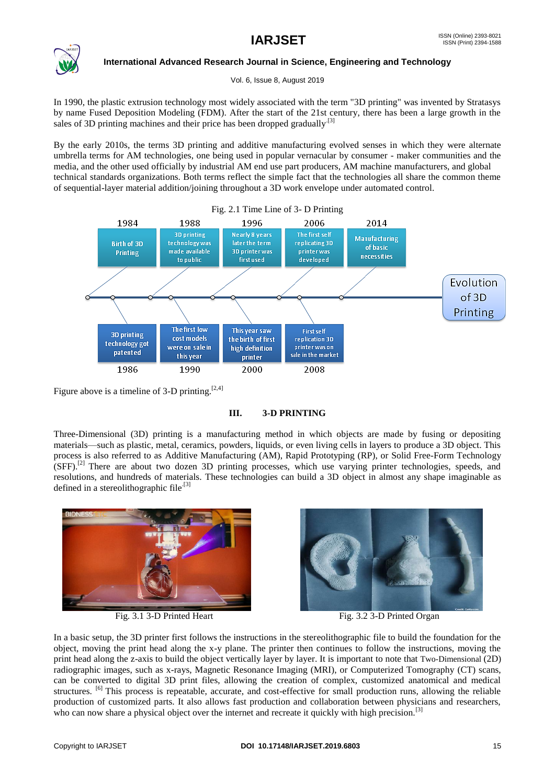

Vol. 6, Issue 8, August 2019

In 1990, the plastic extrusion technology most widely associated with the term "3D printing" was invented by Stratasys by name Fused Deposition Modeling (FDM). After the start of the 21st century, there has been a large growth in the sales of 3D printing machines and their price has been dropped gradually<sup>[3]</sup>

By the early 2010s, the terms 3D printing and additive manufacturing evolved senses in which they were alternate umbrella terms for AM technologies, one being used in popular vernacular by consumer - maker communities and the media, and the other used officially by industrial AM end use part producers, AM machine manufacturers, and global technical standards organizations. Both terms reflect the simple fact that the technologies all share the common theme of sequential-layer material addition/joining throughout a 3D work envelope under automated control.



Figure above is a timeline of 3-D printing.  $[2,4]$ 

#### **III. 3-D PRINTING**

Three-Dimensional (3D) printing is a manufacturing method in which objects are made by fusing or depositing materials—such as plastic, metal, ceramics, powders, liquids, or even living cells in layers to produce a 3D object. This process is also referred to as Additive Manufacturing (AM), Rapid Prototyping (RP), or Solid Free-Form Technology (SFF).<sup>[2]</sup> There are about two dozen 3D printing processes, which use varying printer technologies, speeds, and resolutions, and hundreds of materials. These technologies can build a 3D object in almost any shape imaginable as defined in a stereolithographic file.<sup>[3]</sup>





Fig. 3.1 3-D Printed Heart Fig. 3.2 3-D Printed Organ

In a basic setup, the 3D printer first follows the instructions in the stereolithographic file to build the foundation for the object, moving the print head along the x-y plane. The printer then continues to follow the instructions, moving the print head along the z-axis to build the object vertically layer by layer. It is important to note that Two-Dimensional (2D) radiographic images, such as x-rays, Magnetic Resonance Imaging (MRI), or Computerized Tomography (CT) scans, can be converted to digital 3D print files, allowing the creation of complex, customized anatomical and medical structures. <sup>[6]</sup> This process is repeatable, accurate, and cost-effective for small production runs, allowing the reliable production of customized parts. It also allows fast production and collaboration between physicians and researchers, who can now share a physical object over the internet and recreate it quickly with high precision.<sup>[3]</sup>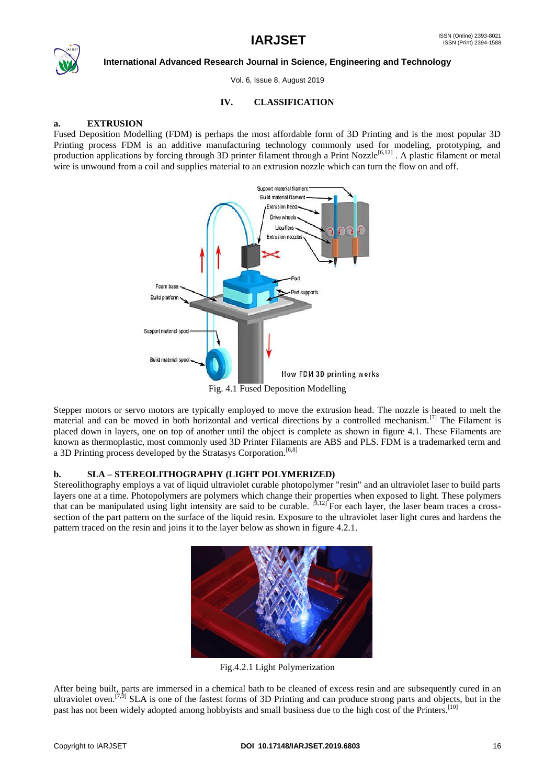

Vol. 6, Issue 8, August 2019

#### **IV. CLASSIFICATION**

#### **a. EXTRUSION**

Fused Deposition Modelling (FDM) is perhaps the most affordable form of 3D Printing and is the most popular 3D Printing process FDM is an additive manufacturing technology commonly used for modeling, prototyping, and production applications by forcing through 3D printer filament through a Print Nozzle<sup>[6,12]</sup>. A plastic filament or metal wire is unwound from a coil and supplies material to an extrusion nozzle which can turn the flow on and off.



Stepper motors or servo motors are typically employed to move the extrusion head. The nozzle is heated to melt the material and can be moved in both horizontal and vertical directions by a controlled mechanism.<sup>[7]</sup> The Filament is placed down in layers, one on top of another until the object is complete as shown in figure 4.1. These Filaments are known as thermoplastic, most commonly used 3D Printer Filaments are ABS and PLS. FDM is a trademarked term and a 3D Printing process developed by the Stratasys Corporation.<sup>[6,8]</sup>

#### **b. SLA – STEREOLITHOGRAPHY (LIGHT POLYMERIZED)**

Stereolithography employs a vat of liquid ultraviolet curable photopolymer "resin" and an ultraviolet laser to build parts layers one at a time. Photopolymers are polymers which change their properties when exposed to light. These polymers that can be manipulated using light intensity are said to be curable.  $\left[9,12\right]$  For each layer, the laser beam traces a crosssection of the part pattern on the surface of the liquid resin. Exposure to the ultraviolet laser light cures and hardens the pattern traced on the resin and joins it to the layer below as shown in figure 4.2.1.



Fig.4.2.1 Light Polymerization

After being built, parts are immersed in a chemical bath to be cleaned of excess resin and are subsequently cured in an ultraviolet oven.<sup>[7,9]</sup> SLA is one of the fastest forms of 3D Printing and can produce strong parts and objects, but in the past has not been widely adopted among hobbyists and small business due to the high cost of the Printers.<sup>[10]</sup>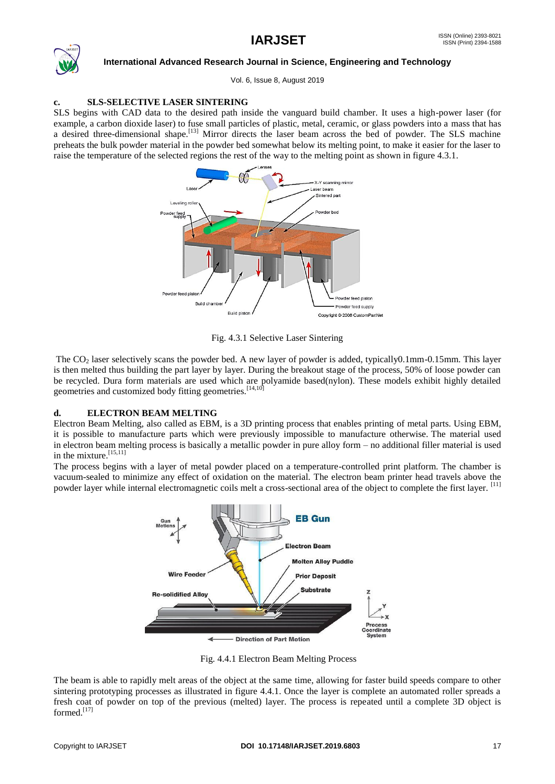

Vol. 6, Issue 8, August 2019

#### **c. SLS-SELECTIVE LASER SINTERING**

SLS begins with CAD data to the desired path inside the vanguard build chamber. It uses a high-power laser (for example, a carbon dioxide laser) to fuse small particles of plastic, metal, ceramic, or glass powders into a mass that has a desired three-dimensional shape.<sup>[13]</sup> Mirror directs the laser beam across the bed of powder. The SLS machine preheats the bulk powder material in the powder bed somewhat below its melting point, to make it easier for the laser to raise the temperature of the selected regions the rest of the way to the melting point as shown in figure 4.3.1.



Fig. 4.3.1 Selective Laser Sintering

The  $CO<sub>2</sub>$  laser selectively scans the powder bed. A new layer of powder is added, typically $0.1$ mm-0.15mm. This layer is then melted thus building the part layer by layer. During the breakout stage of the process, 50% of loose powder can be recycled. Dura form materials are used which are polyamide based(nylon). These models exhibit highly detailed geometries and customized body fitting geometries.<sup>[14,10]</sup>

#### **d. ELECTRON BEAM MELTING**

Electron Beam Melting, also called as EBM, is a 3D printing process that enables printing of metal parts. Using EBM, it is possible to manufacture parts which were previously impossible to manufacture otherwise. The material used in electron beam melting process is basically a metallic powder in pure alloy form – no additional filler material is used in the mixture.<sup>[15,11]</sup>

The process begins with a layer of metal powder placed on a temperature-controlled print platform. The chamber is vacuum-sealed to minimize any effect of oxidation on the material. The electron beam printer head travels above the powder layer while internal electromagnetic coils melt a cross-sectional area of the object to complete the first layer. [11]



Fig. 4.4.1 Electron Beam Melting Process

The beam is able to rapidly melt areas of the object at the same time, allowing for faster build speeds compare to other sintering prototyping processes as illustrated in figure 4.4.1. Once the layer is complete an automated roller spreads a fresh coat of powder on top of the previous (melted) layer. The process is repeated until a complete 3D object is formed.[17]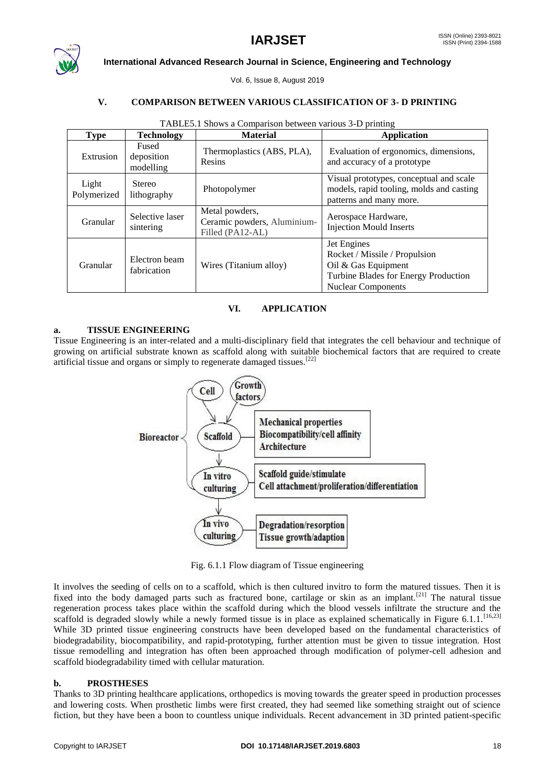

Vol. 6, Issue 8, August 2019

#### **V. COMPARISON BETWEEN VARIOUS CLASSIFICATION OF 3- D PRINTING**

| <b>Type</b>          | <b>Technology</b>                | <b>Material</b>                                                   | <b>Application</b>                                                                                                                       |  |
|----------------------|----------------------------------|-------------------------------------------------------------------|------------------------------------------------------------------------------------------------------------------------------------------|--|
| Extrusion            | Fused<br>deposition<br>modelling | Thermoplastics (ABS, PLA),<br>Resins                              | Evaluation of ergonomics, dimensions,<br>and accuracy of a prototype                                                                     |  |
| Light<br>Polymerized | Stereo<br>lithography            | Photopolymer                                                      | Visual prototypes, conceptual and scale<br>models, rapid tooling, molds and casting<br>patterns and many more.                           |  |
| Granular             | Selective laser<br>sintering     | Metal powders,<br>Ceramic powders, Aluminium-<br>Filled (PA12-AL) | Aerospace Hardware,<br><b>Injection Mould Inserts</b>                                                                                    |  |
| Granular             | Electron beam<br>fabrication     | Wires (Titanium alloy)                                            | Jet Engines<br>Rocket / Missile / Propulsion<br>Oil & Gas Equipment<br>Turbine Blades for Energy Production<br><b>Nuclear Components</b> |  |

#### TABLE5.1 Shows a Comparison between various 3-D printing

#### **VI. APPLICATION**

#### **a. TISSUE ENGINEERING**

Tissue Engineering is an inter-related and a multi-disciplinary field that integrates the cell behaviour and technique of growing on artificial substrate known as scaffold along with suitable biochemical factors that are required to create artificial tissue and organs or simply to regenerate damaged tissues.<sup>[22]</sup>



Fig. 6.1.1 Flow diagram of Tissue engineering

It involves the seeding of cells on to a scaffold, which is then cultured invitro to form the matured tissues. Then it is fixed into the body damaged parts such as fractured bone, cartilage or skin as an implant.<sup>[21]</sup> The natural tissue regeneration process takes place within the scaffold during which the blood vessels infiltrate the structure and the scaffold is degraded slowly while a newly formed tissue is in place as explained schematically in Figure 6.1.1.<sup>[16,23]</sup> While 3D printed tissue engineering constructs have been developed based on the fundamental characteristics of biodegradability, biocompatibility, and rapid-prototyping, further attention must be given to tissue integration. Host tissue remodelling and integration has often been approached through modification of polymer-cell adhesion and scaffold biodegradability timed with cellular maturation.

#### **b. PROSTHESES**

Thanks to 3D printing healthcare applications, orthopedics is moving towards the greater speed in production processes and lowering costs. When prosthetic limbs were first created, they had seemed like something straight out of science fiction, but they have been a boon to countless unique individuals. Recent advancement in 3D printed patient-specific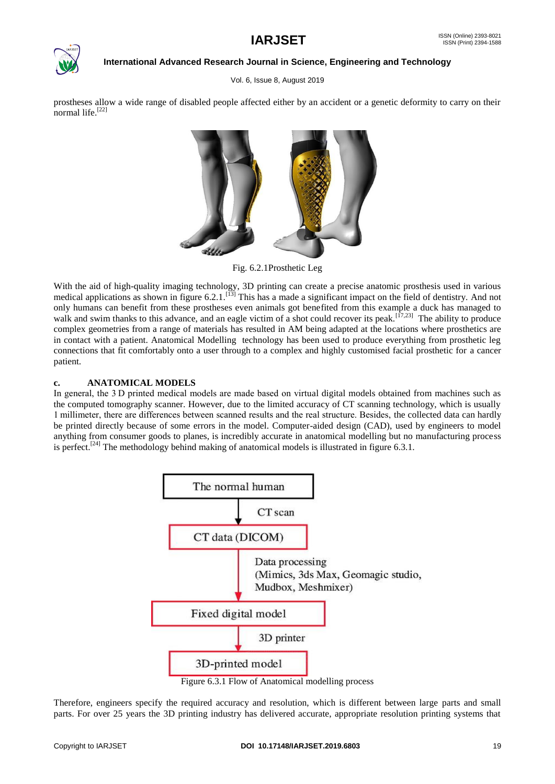

Vol. 6, Issue 8, August 2019

prostheses allow a wide range of disabled people affected either by an accident or a genetic deformity to carry on their normal life. $[22]$ 



Fig. 6.2.1Prosthetic Leg

With the aid of high-quality imaging technology, 3D printing can create a precise anatomic prosthesis used in various medical applications as shown in figure  $6.2.1$ .<sup>[13]</sup> This has a made a significant impact on the field of dentistry. And not only humans can benefit from these prostheses even animals got benefited from this example a duck has managed to walk and swim thanks to this advance, and an eagle victim of a shot could recover its peak.<sup>[17,23]</sup> The ability to produce complex geometries from a range of materials has resulted in AM being adapted at the locations where prosthetics are in contact with a patient. Anatomical Modelling technology has been used to produce everything from prosthetic leg connections that fit comfortably onto a user through to a complex and highly customised facial prosthetic for a cancer patient.

### **c. ANATOMICAL MODELS**

In general, the 3 D printed medical models are made based on virtual digital models obtained from machines such as the computed tomography scanner. However, due to the limited accuracy of CT scanning technology, which is usually 1 millimeter, there are differences between scanned results and the real structure. Besides, the collected data can hardly be printed directly because of some errors in the model. Computer-aided design (CAD), used by engineers to model anything from consumer goods to planes, is incredibly accurate in anatomical modelling but no manufacturing process is perfect.<sup>[24]</sup> The methodology behind making of anatomical models is illustrated in figure 6.3.1.



Figure 6.3.1 Flow of Anatomical modelling process

Therefore, engineers specify the required accuracy and resolution, which is different between large parts and small parts. For over 25 years the 3D printing industry has delivered accurate, appropriate resolution printing systems that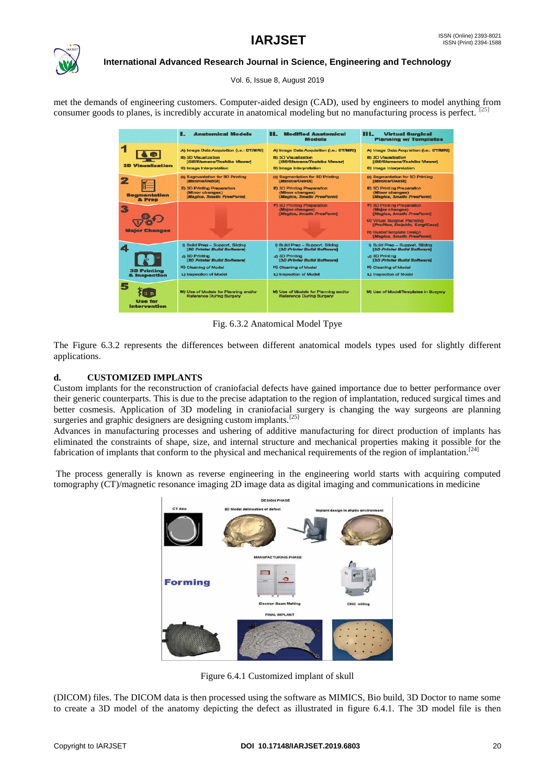

Vol. 6, Issue 8, August 2019

met the demands of engineering customers. Computer-aided design (CAD), used by engineers to model anything from consumer goods to planes, is incredibly accurate in anatomical modeling but no manufacturing process is perfect. <sup>[25]</sup>

|                                    | п<br><b>Anatomical Models</b>                                                                                                                                                   | <b>Modified Anatomical</b><br>. .<br>Models                                                                                                                                            | ш<br><b>Virtual Surgical</b><br><b>Planning w/ Templates</b>                                                                                                                                                       |
|------------------------------------|---------------------------------------------------------------------------------------------------------------------------------------------------------------------------------|----------------------------------------------------------------------------------------------------------------------------------------------------------------------------------------|--------------------------------------------------------------------------------------------------------------------------------------------------------------------------------------------------------------------|
| <b>3D Visualization</b>            | A) Image Data Acquisition (i.e.: CT/MRI)<br><b>B) 3D Visualization</b><br>[GE/Slemens/Toshiba Viewer]<br>C) Image Interpretation                                                | A) Image Data Acquisition (i.e.; CT/MRI)<br><b>B) 3D Visualization</b><br>[GE/Sfemans/Toshiba Viewer]<br>C) Image Interpretation                                                       | A) Image Data Acquisition G.e.: CT/MRI)<br><b>B) 3D Visualization</b><br>[GE/Slemens/Toshiba Viewer]<br>C) Image Interpretation                                                                                    |
| <b>Segmentation</b><br>& Prep      | <b>D) Seamentation for 3D Printing</b><br>[Attnica/DairDC]<br>E) 3D Printing Preparation<br>(Minor changes)<br>[Magics, 3metic FreeForm]                                        | D) Segmentation for 3D Printing<br>[Mimica/OsirD]<br>E) 3D Printing Pregaration<br>(Minor changes)<br>[Magics, 3matic FreeForm]                                                        | D) Segmentation for 3D Printing<br>[Mimica/DsJrD]<br>El 3D Printing Preparation<br>(Minor changes)<br>[Mugica, 3matic FreeForm]                                                                                    |
| <b>Malor Changes</b>               |                                                                                                                                                                                 | F) 3D Printing Preceration<br>(Major changes)<br><b>Magics, 3matic FreeFormi</b>                                                                                                       | F) 3D Printing Preparation<br>(Major changes)<br>[Magica, 3matic FreeForm]<br><b>G) Virtual Surgical Planning</b><br>[ProPlan, Dolphin, SurgiCase]<br><b>Ht Guide/Template Design</b><br>[Magica, 3matic FreeForm] |
| <b>3D Printing</b><br>& Inspection | <b>B Build Prep - Support, Silging</b><br>[3D Printer Build Software]<br>J) 3D Printing<br><b>[3D Printer Bulld Software]</b><br>K) Cleaning of Model<br>L) Inspection of Model | <b>B Build Prep - Support, Silcing</b><br>[3D Printer Build Software]<br>Ja 3D Printing<br><b>[3D Printer Bulld Software]</b><br><b>K)</b> Cleaning of Model<br>L) Inspection of Model | <b>Build Prep - Support, Slicing</b><br>[3D Printer Build Software]<br>J) 3D Printing<br><b>[3D Printer Build Software]</b><br>K) Cleaning of Model<br>L) Inspection of Model                                      |
| <b>Use for</b><br>Intervention     | M) Use of Models for Planning end/or<br>Reference During Surgery                                                                                                                | M) Use of Models for Planning and/or<br>Reference During Surgery                                                                                                                       | M) Use of Model/Templates in Surgery                                                                                                                                                                               |

Fig. 6.3.2 Anatomical Model Tpye

The Figure 6.3.2 represents the differences between different anatomical models types used for slightly different applications.

#### **d. CUSTOMIZED IMPLANTS**

Custom implants for the reconstruction of craniofacial defects have gained importance due to better performance over their generic counterparts. This is due to the precise adaptation to the region of implantation, reduced surgical times and better cosmesis. Application of 3D modeling in craniofacial surgery is changing the way surgeons are planning surgeries and graphic designers are designing custom implants.<sup>[25]</sup>

Advances in manufacturing processes and ushering of additive manufacturing for direct production of implants has eliminated the constraints of shape, size, and internal structure and mechanical properties making it possible for the fabrication of implants that conform to the physical and mechanical requirements of the region of implantation.<sup>[24]</sup>

The process generally is known as reverse engineering in the engineering world starts with acquiring computed tomography (CT)/magnetic resonance imaging 2D image data as digital imaging and communications in medicine



Figure 6.4.1 Customized implant of skull

(DICOM) files. The DICOM data is then processed using the software as MIMICS, Bio build, 3D Doctor to name some to create a 3D model of the anatomy depicting the defect as illustrated in figure 6.4.1. The 3D model file is then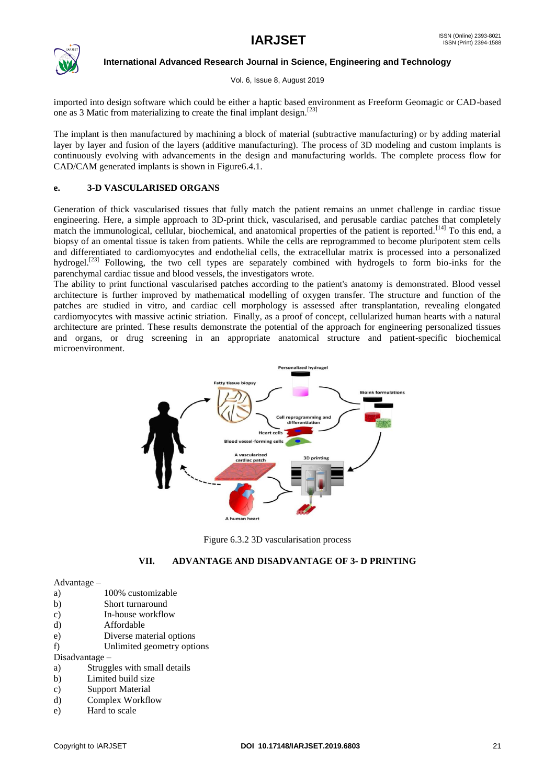

Vol. 6, Issue 8, August 2019

imported into design software which could be either a haptic based environment as Freeform Geomagic or CAD-based one as 3 Matic from materializing to create the final implant design.  $[23]$ 

The implant is then manufactured by machining a block of material (subtractive manufacturing) or by adding material layer by layer and fusion of the layers (additive manufacturing). The process of 3D modeling and custom implants is continuously evolving with advancements in the design and manufacturing worlds. The complete process flow for CAD/CAM generated implants is shown in Figure6.4.1*.*

#### **e. 3-D VASCULARISED ORGANS**

Generation of thick vascularised tissues that fully match the patient remains an unmet challenge in cardiac tissue engineering. Here, a simple approach to 3D-print thick, vascularised, and perusable cardiac patches that completely match the immunological, cellular, biochemical, and anatomical properties of the patient is reported.<sup>[14]</sup> To this end, a biopsy of an omental tissue is taken from patients. While the cells are reprogrammed to become pluripotent stem cells and differentiated to cardiomyocytes and endothelial cells, the extracellular matrix is processed into a personalized hydrogel.<sup>[23]</sup> Following, the two cell types are separately combined with hydrogels to form bio-inks for the parenchymal cardiac tissue and blood vessels, the investigators wrote.

The ability to print functional vascularised patches according to the patient's anatomy is demonstrated. Blood vessel architecture is further improved by mathematical modelling of oxygen transfer. The structure and function of the patches are studied in vitro, and cardiac cell morphology is assessed after transplantation, revealing elongated cardiomyocytes with massive actinic striation. Finally, as a proof of concept, cellularized human hearts with a natural architecture are printed. These results demonstrate the potential of the approach for engineering personalized tissues and organs, or drug screening in an appropriate anatomical structure and patient-specific biochemical microenvironment.



Figure 6.3.2 3D vascularisation process

#### **VII. ADVANTAGE AND DISADVANTAGE OF 3- D PRINTING**

#### Advantage –

- a) 100% customizable
- b) Short turnaround
- c) In-house workflow
- d) Affordable
- e) Diverse material options
- f) Unlimited geometry options

Disadvantage –

- a) Struggles with small details
- b) Limited build size
- c) Support Material
- d) Complex Workflow
- e) Hard to scale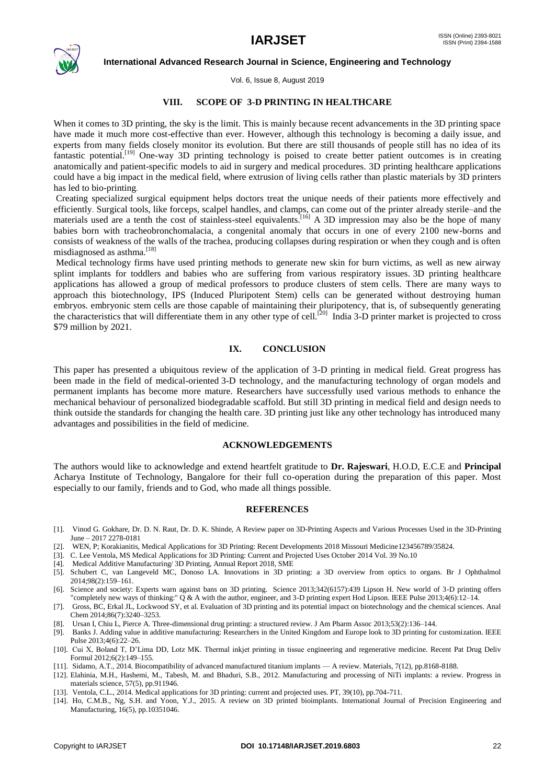

Vol. 6, Issue 8, August 2019

#### **VIII. SCOPE OF 3-D PRINTING IN HEALTHCARE**

When it comes to 3D printing, the sky is the limit. This is mainly because recent advancements in the 3D printing space have made it much more cost-effective than ever. However, although this technology is becoming a daily issue, and experts from many fields closely monitor its evolution. But there are still thousands of people still has no idea of its fantastic potential.<sup>[19]</sup> One-way 3D printing technology is poised to create better patient outcomes is in creating anatomically and patient-specific models to aid in surgery and medical procedures. 3D printing healthcare applications could have a big impact in the medical field, where extrusion of living cells rather than plastic materials by 3D printers has led to bio-printing*.*

Creating specialized surgical equipment helps doctors treat the unique needs of their patients more effectively and efficiently. Surgical tools, like forceps, scalpel handles, and clamps, can come out of the printer already sterile–and the materials used are a tenth the cost of stainless-steel equivalents.<sup>[16]</sup> A 3D impression may also be the hope of many materials babies born with tracheobronchomalacia, a congenital anomaly that occurs in one of every 2100 new-borns and consists of weakness of the walls of the trachea, producing collapses during respiration or when they cough and is often misdiagnosed as asthma.<sup>[18]</sup>

Medical technology firms have used printing methods to generate new skin for burn victims, as well as new airway splint implants for toddlers and babies who are suffering from various respiratory issues. 3D printing healthcare applications has allowed a group of medical professors to produce clusters of stem cells. There are many ways to approach this biotechnology, IPS (Induced Pluripotent Stem) cells can be generated without destroying human embryos. embryonic stem cells are those capable of maintaining their pluripotency, that is, of subsequently generating the characteristics that will differentiate them in any other type of cell.<sup>[20]</sup> India 3-D printer market is projected to cross \$79 million by 2021.

#### **IX. CONCLUSION**

This paper has presented a ubiquitous review of the application of 3-D printing in medical field. Great progress has been made in the field of medical-oriented 3-D technology, and the manufacturing technology of organ models and permanent implants has become more mature. Researchers have successfully used various methods to enhance the mechanical behaviour of personalized biodegradable scaffold. But still 3D printing in medical field and design needs to think outside the standards for changing the health care. 3D printing just like any other technology has introduced many advantages and possibilities in the field of medicine.

#### **ACKNOWLEDGEMENTS**

The authors would like to acknowledge and extend heartfelt gratitude to **Dr. Rajeswari**, H.O.D, E.C.E and **Principal** Acharya Institute of Technology, Bangalore for their full co-operation during the preparation of this paper. Most especially to our family, friends and to God, who made all things possible.

#### **REFERENCES**

- [1]. Vinod G. Gokhare, Dr. D. N. Raut, Dr. D. K. Shinde, A Review paper on 3D-Printing Aspects and Various Processes Used in the 3D-Printing June – 2017 2278-0181
- [2]. WEN, P; Korakianitis, Medical Applications for 3D Printing: Recent Developments 2018 Missouri Medicine123456789/35824.
- [3]. C. Lee Ventola, MS Medical Applications for 3D Printing: Current and Projected Uses October 2014 Vol. 39 No.10
- [4]. Medical Additive Manufacturing/ 3D Printing, Annual Report 2018, SME
- [5]. Schubert C, van Langeveld MC, Donoso LA. Innovations in 3D printing: a 3D overview from optics to organs. Br J Ophthalmol 2014;98(2):159–161.
- [6]. Science and society: Experts warn against bans on 3D printing. Science 2013;342(6157):439 Lipson H. New world of 3-D printing offers "completely new ways of thinking:" Q & A with the author, engineer, and 3-D printing expert Hod Lipson. IEEE Pulse 2013;4(6):12–14.
- [7]. Gross, BC, Erkal JL, Lockwood SY, et al. Evaluation of 3D printing and its potential impact on biotechnology and the chemical sciences. Anal Chem 2014;86(7):3240–3253.
- [8]. Ursan I, Chiu L, Pierce A. Three-dimensional drug printing: a structured review. J Am Pharm Assoc 2013;53(2):136–144.
- [9]. Banks J. Adding value in additive manufacturing: Researchers in the United Kingdom and Europe look to 3D printing for customization. IEEE Pulse 2013;4(6):22-26.
- [10]. Cui X, Boland T, D'Lima DD, Lotz MK. Thermal inkjet printing in tissue engineering and regenerative medicine. Recent Pat Drug Deliv Formul 2012;6(2):149–155.
- [11]. Sidamo, A.T., 2014. Biocompatibility of advanced manufactured titanium implants A review. Materials, 7(12), pp.8168-8188.
- [12]. Elahinia, M.H., Hashemi, M., Tabesh, M. and Bhaduri, S.B., 2012. Manufacturing and processing of NiTi implants: a review. Progress in materials science, 57(5), pp.911946.
- [13]. Ventola, C.L., 2014. Medical applications for 3D printing: current and projected uses. PT, 39(10), pp.704-711.
- [14]. Ho, C.M.B., Ng, S.H. and Yoon, Y.J., 2015. A review on 3D printed bioimplants. International Journal of Precision Engineering and Manufacturing, 16(5), pp.10351046.